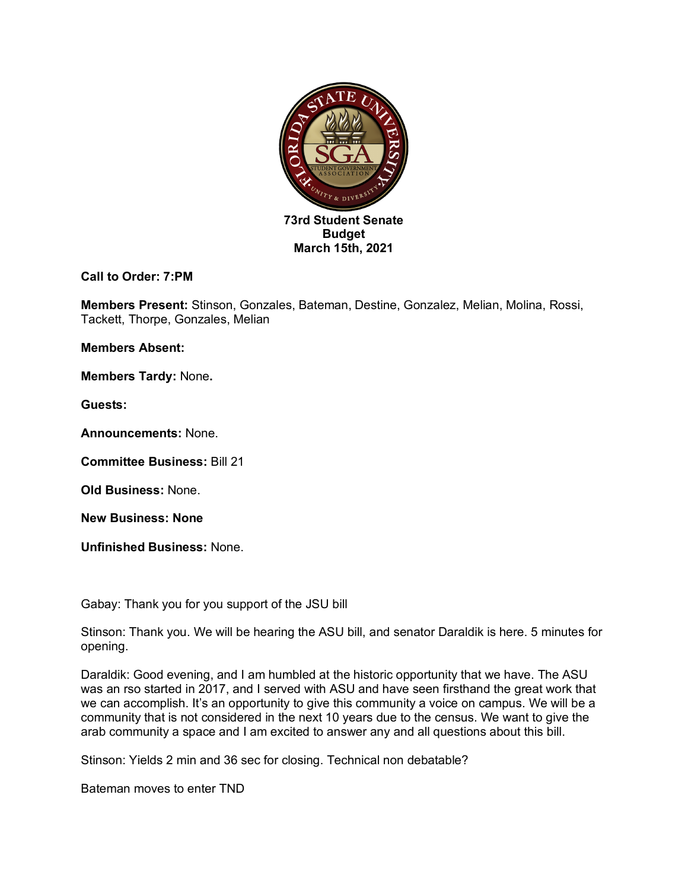

## **Call to Order: 7:PM**

**Members Present:** Stinson, Gonzales, Bateman, Destine, Gonzalez, Melian, Molina, Rossi, Tackett, Thorpe, Gonzales, Melian

**Members Absent:** 

**Members Tardy:** None**.**

**Guests:** 

**Announcements:** None.

**Committee Business:** Bill 21

**Old Business:** None.

**New Business: None**

**Unfinished Business:** None.

Gabay: Thank you for you support of the JSU bill

Stinson: Thank you. We will be hearing the ASU bill, and senator Daraldik is here. 5 minutes for opening.

Daraldik: Good evening, and I am humbled at the historic opportunity that we have. The ASU was an rso started in 2017, and I served with ASU and have seen firsthand the great work that we can accomplish. It's an opportunity to give this community a voice on campus. We will be a community that is not considered in the next 10 years due to the census. We want to give the arab community a space and I am excited to answer any and all questions about this bill.

Stinson: Yields 2 min and 36 sec for closing. Technical non debatable?

Bateman moves to enter TND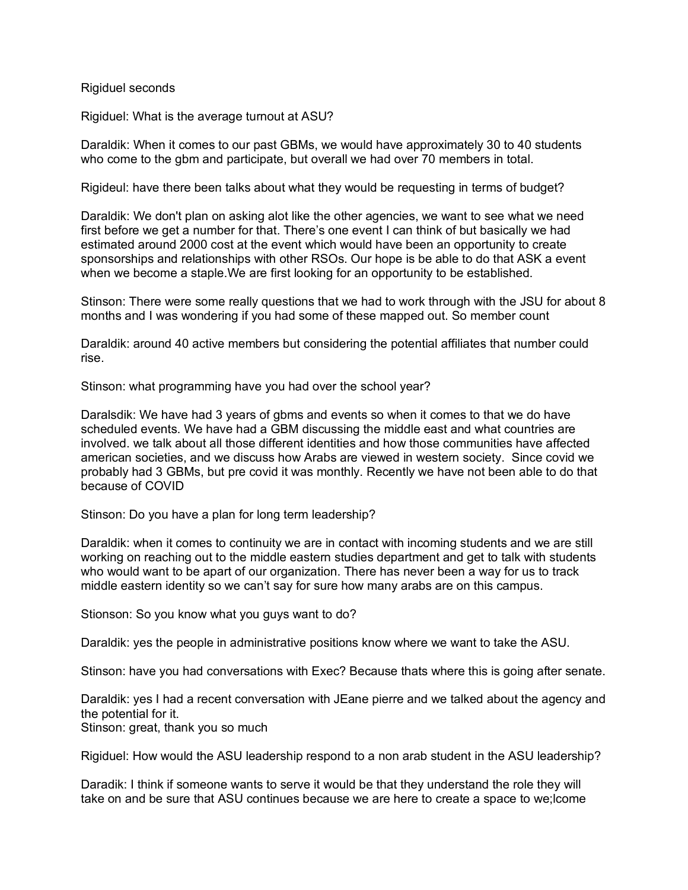Rigiduel seconds

Rigiduel: What is the average turnout at ASU?

Daraldik: When it comes to our past GBMs, we would have approximately 30 to 40 students who come to the gbm and participate, but overall we had over 70 members in total.

Rigideul: have there been talks about what they would be requesting in terms of budget?

Daraldik: We don't plan on asking alot like the other agencies, we want to see what we need first before we get a number for that. There's one event I can think of but basically we had estimated around 2000 cost at the event which would have been an opportunity to create sponsorships and relationships with other RSOs. Our hope is be able to do that ASK a event when we become a staple.We are first looking for an opportunity to be established.

Stinson: There were some really questions that we had to work through with the JSU for about 8 months and I was wondering if you had some of these mapped out. So member count

Daraldik: around 40 active members but considering the potential affiliates that number could rise.

Stinson: what programming have you had over the school year?

Daralsdik: We have had 3 years of gbms and events so when it comes to that we do have scheduled events. We have had a GBM discussing the middle east and what countries are involved. we talk about all those different identities and how those communities have affected american societies, and we discuss how Arabs are viewed in western society. Since covid we probably had 3 GBMs, but pre covid it was monthly. Recently we have not been able to do that because of COVID

Stinson: Do you have a plan for long term leadership?

Daraldik: when it comes to continuity we are in contact with incoming students and we are still working on reaching out to the middle eastern studies department and get to talk with students who would want to be apart of our organization. There has never been a way for us to track middle eastern identity so we can't say for sure how many arabs are on this campus.

Stionson: So you know what you guys want to do?

Daraldik: yes the people in administrative positions know where we want to take the ASU.

Stinson: have you had conversations with Exec? Because thats where this is going after senate.

Daraldik: yes I had a recent conversation with JEane pierre and we talked about the agency and the potential for it. Stinson: great, thank you so much

Rigiduel: How would the ASU leadership respond to a non arab student in the ASU leadership?

Daradik: I think if someone wants to serve it would be that they understand the role they will take on and be sure that ASU continues because we are here to create a space to we;lcome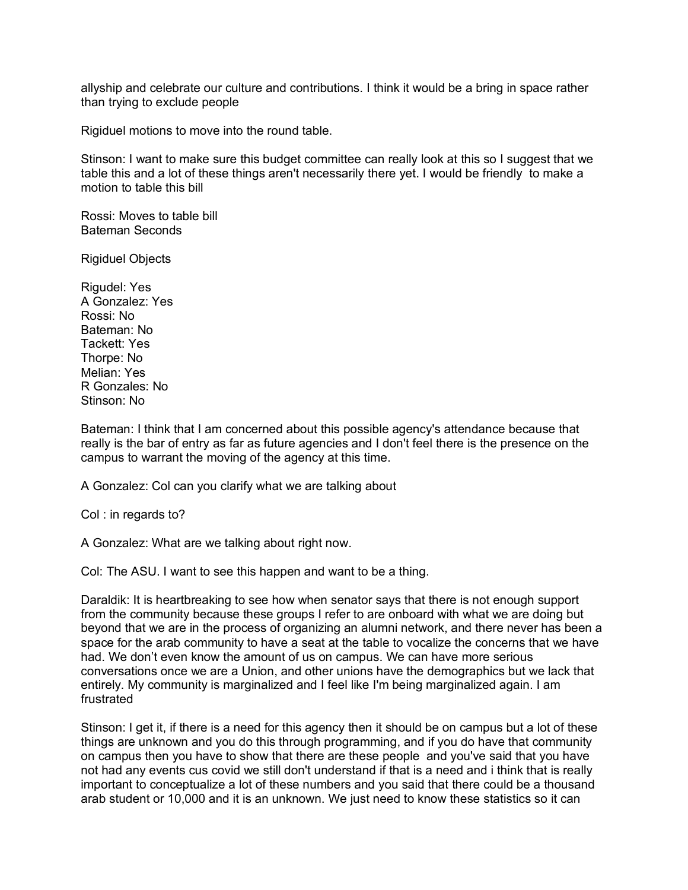allyship and celebrate our culture and contributions. I think it would be a bring in space rather than trying to exclude people

Rigiduel motions to move into the round table.

Stinson: I want to make sure this budget committee can really look at this so I suggest that we table this and a lot of these things aren't necessarily there yet. I would be friendly to make a motion to table this bill

Rossi: Moves to table bill Bateman Seconds

Rigiduel Objects

Rigudel: Yes A Gonzalez: Yes Rossi: No Bateman: No Tackett: Yes Thorpe: No Melian: Yes R Gonzales: No Stinson: No

Bateman: I think that I am concerned about this possible agency's attendance because that really is the bar of entry as far as future agencies and I don't feel there is the presence on the campus to warrant the moving of the agency at this time.

A Gonzalez: Col can you clarify what we are talking about

Col : in regards to?

A Gonzalez: What are we talking about right now.

Col: The ASU. I want to see this happen and want to be a thing.

Daraldik: It is heartbreaking to see how when senator says that there is not enough support from the community because these groups I refer to are onboard with what we are doing but beyond that we are in the process of organizing an alumni network, and there never has been a space for the arab community to have a seat at the table to vocalize the concerns that we have had. We don't even know the amount of us on campus. We can have more serious conversations once we are a Union, and other unions have the demographics but we lack that entirely. My community is marginalized and I feel like I'm being marginalized again. I am frustrated

Stinson: I get it, if there is a need for this agency then it should be on campus but a lot of these things are unknown and you do this through programming, and if you do have that community on campus then you have to show that there are these people and you've said that you have not had any events cus covid we still don't understand if that is a need and i think that is really important to conceptualize a lot of these numbers and you said that there could be a thousand arab student or 10,000 and it is an unknown. We just need to know these statistics so it can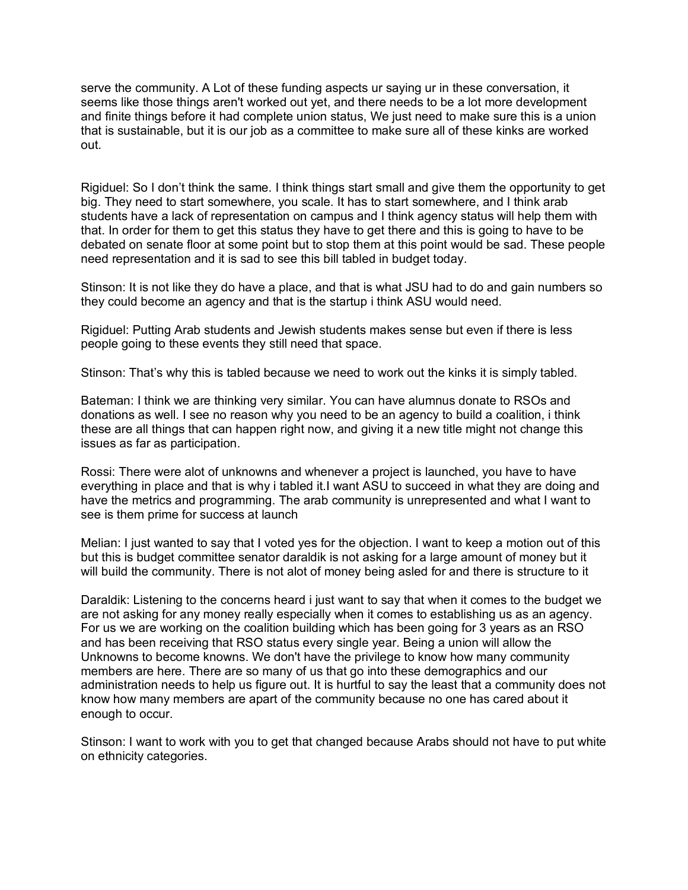serve the community. A Lot of these funding aspects ur saying ur in these conversation, it seems like those things aren't worked out yet, and there needs to be a lot more development and finite things before it had complete union status, We just need to make sure this is a union that is sustainable, but it is our job as a committee to make sure all of these kinks are worked out.

Rigiduel: So I don't think the same. I think things start small and give them the opportunity to get big. They need to start somewhere, you scale. It has to start somewhere, and I think arab students have a lack of representation on campus and I think agency status will help them with that. In order for them to get this status they have to get there and this is going to have to be debated on senate floor at some point but to stop them at this point would be sad. These people need representation and it is sad to see this bill tabled in budget today.

Stinson: It is not like they do have a place, and that is what JSU had to do and gain numbers so they could become an agency and that is the startup i think ASU would need.

Rigiduel: Putting Arab students and Jewish students makes sense but even if there is less people going to these events they still need that space.

Stinson: That's why this is tabled because we need to work out the kinks it is simply tabled.

Bateman: I think we are thinking very similar. You can have alumnus donate to RSOs and donations as well. I see no reason why you need to be an agency to build a coalition, i think these are all things that can happen right now, and giving it a new title might not change this issues as far as participation.

Rossi: There were alot of unknowns and whenever a project is launched, you have to have everything in place and that is why i tabled it.I want ASU to succeed in what they are doing and have the metrics and programming. The arab community is unrepresented and what I want to see is them prime for success at launch

Melian: I just wanted to say that I voted yes for the objection. I want to keep a motion out of this but this is budget committee senator daraldik is not asking for a large amount of money but it will build the community. There is not alot of money being asled for and there is structure to it

Daraldik: Listening to the concerns heard i just want to say that when it comes to the budget we are not asking for any money really especially when it comes to establishing us as an agency. For us we are working on the coalition building which has been going for 3 years as an RSO and has been receiving that RSO status every single year. Being a union will allow the Unknowns to become knowns. We don't have the privilege to know how many community members are here. There are so many of us that go into these demographics and our administration needs to help us figure out. It is hurtful to say the least that a community does not know how many members are apart of the community because no one has cared about it enough to occur.

Stinson: I want to work with you to get that changed because Arabs should not have to put white on ethnicity categories.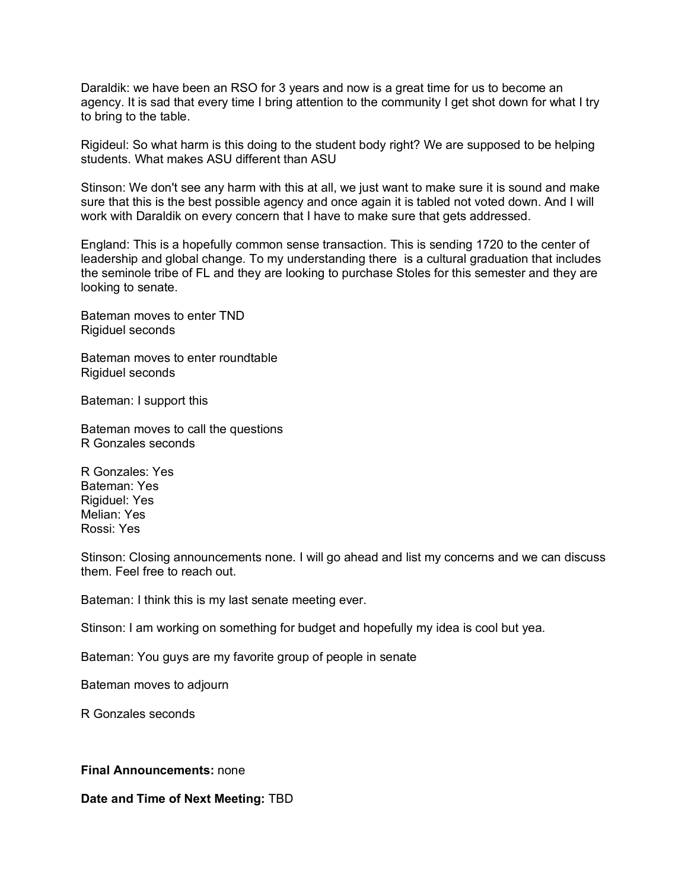Daraldik: we have been an RSO for 3 years and now is a great time for us to become an agency. It is sad that every time I bring attention to the community I get shot down for what I try to bring to the table.

Rigideul: So what harm is this doing to the student body right? We are supposed to be helping students. What makes ASU different than ASU

Stinson: We don't see any harm with this at all, we just want to make sure it is sound and make sure that this is the best possible agency and once again it is tabled not voted down. And I will work with Daraldik on every concern that I have to make sure that gets addressed.

England: This is a hopefully common sense transaction. This is sending 1720 to the center of leadership and global change. To my understanding there is a cultural graduation that includes the seminole tribe of FL and they are looking to purchase Stoles for this semester and they are looking to senate.

Bateman moves to enter TND Rigiduel seconds

Bateman moves to enter roundtable Rigiduel seconds

Bateman: I support this

Bateman moves to call the questions R Gonzales seconds

R Gonzales: Yes Bateman: Yes Rigiduel: Yes Melian: Yes Rossi: Yes

Stinson: Closing announcements none. I will go ahead and list my concerns and we can discuss them. Feel free to reach out.

Bateman: I think this is my last senate meeting ever.

Stinson: I am working on something for budget and hopefully my idea is cool but yea.

Bateman: You guys are my favorite group of people in senate

Bateman moves to adjourn

R Gonzales seconds

## **Final Announcements:** none

**Date and Time of Next Meeting:** TBD